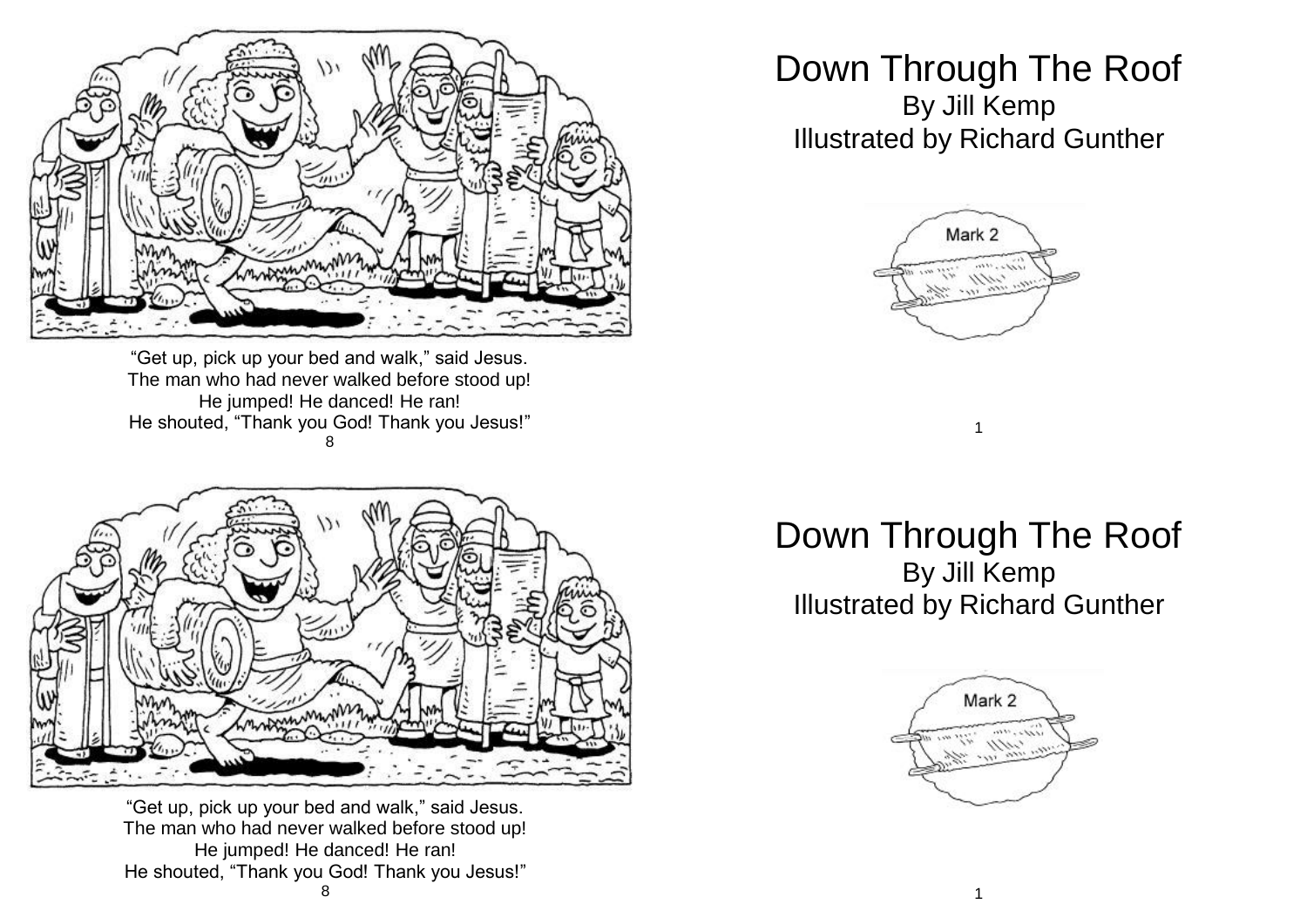

"Get up, pick up your bed and walk," said Jesus. The man who had never walked before stood up! He jumped! He danced! He ran! He shouted, "Thank you God! Thank you Jesus!" 8



"Get up, pick up your bed and walk," said Jesus. The man who had never walked before stood up! He jumped! He danced! He ran! He shouted, "Thank you God! Thank you Jesus!" 8

## Down Through The Roof By Jill Kemp Illustrated by Richard Gunther



## Down Through The Roof By Jill Kemp Illustrated by Richard Gunther

1

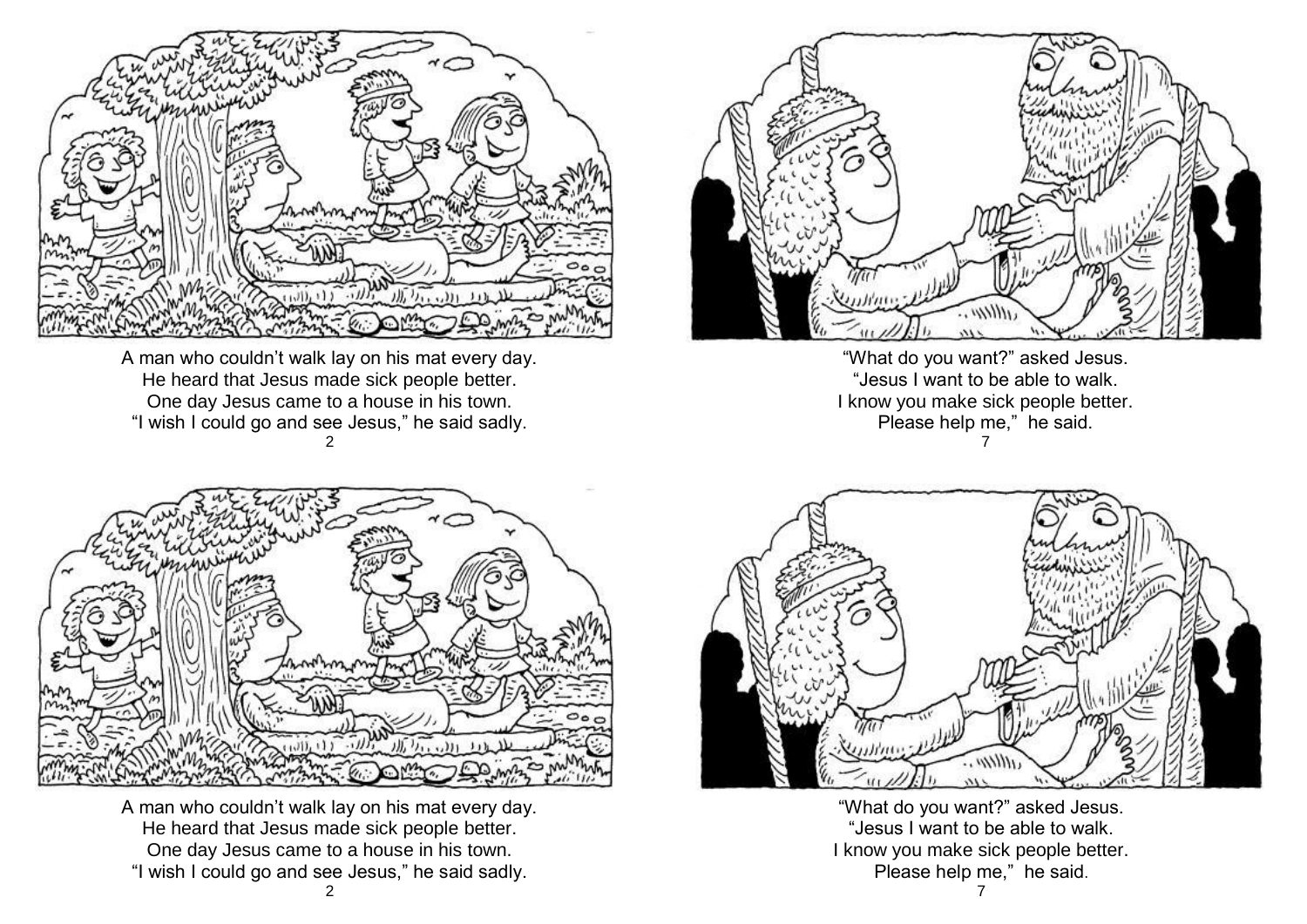

A man who couldn't walk lay on his mat every day. He heard that Jesus made sick people better. One day Jesus came to a house in his town. "I wish I could go and see Jesus," he said sadly. 2



"What do you want?" asked Jesus. "Jesus I want to be able to walk. I know you make sick people better. Please help me," he said. 7



A man who couldn't walk lay on his mat every day. He heard that Jesus made sick people better. One day Jesus came to a house in his town. "I wish I could go and see Jesus," he said sadly.



"What do you want?" asked Jesus. "Jesus I want to be able to walk. I know you make sick people better. Please help me," he said.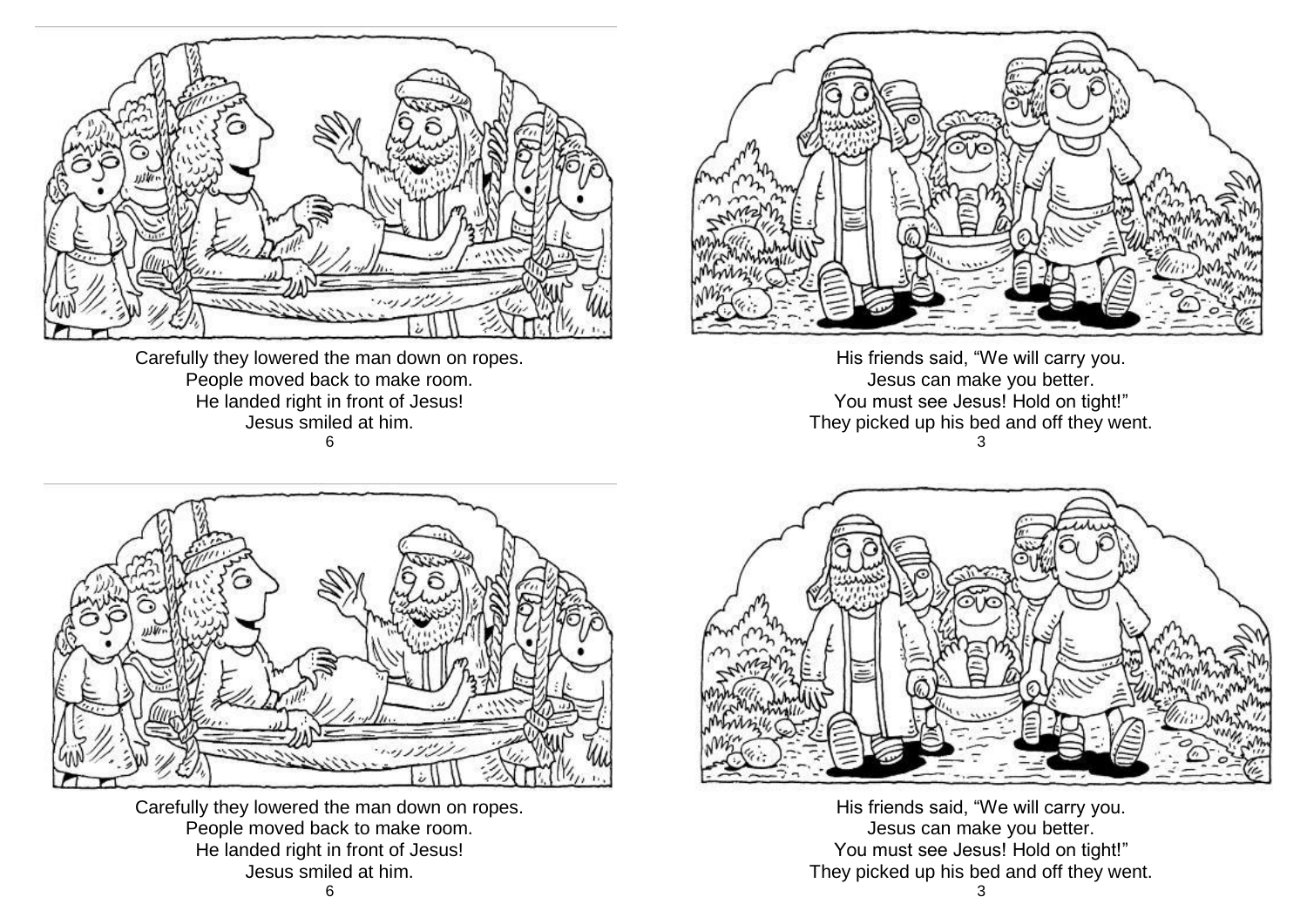

Carefully they lowered the man down on ropes. People moved back to make room. He landed right in front of Jesus! Jesus smiled at him. 6



Carefully they lowered the man down on ropes. People moved back to make room. He landed right in front of Jesus! Jesus smiled at him.



His friends said, "We will carry you. Jesus can make you better. You must see Jesus! Hold on tight!" They picked up his bed and off they went. 3



His friends said, "We will carry you. Jesus can make you better. You must see Jesus! Hold on tight!" They picked up his bed and off they went.